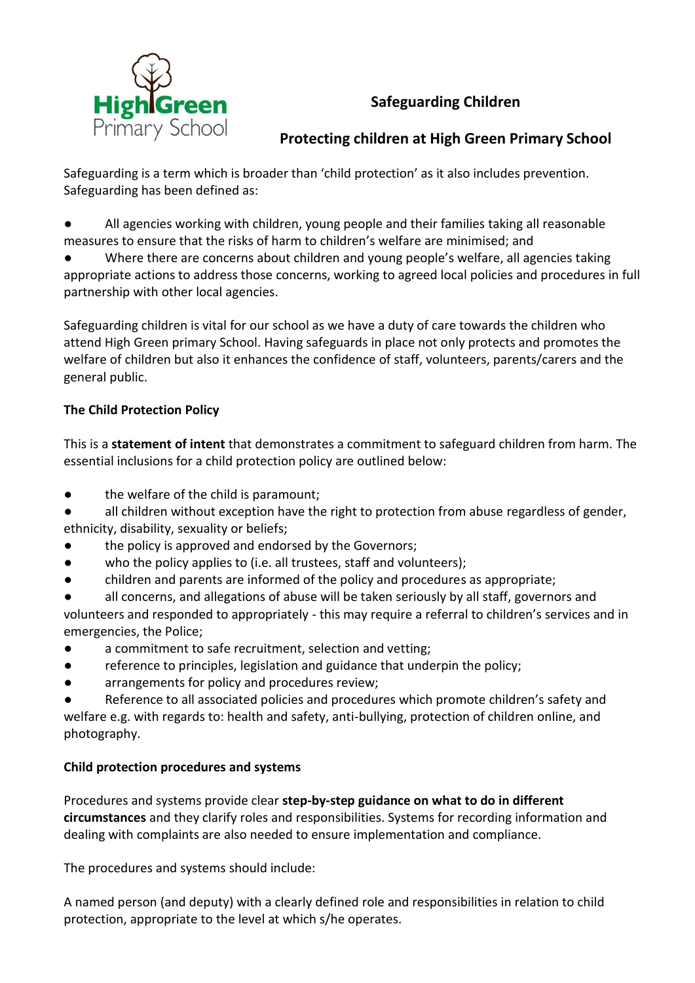

# **Safeguarding Children**

# **Protecting children at High Green Primary School**

Safeguarding is a term which is broader than 'child protection' as it also includes prevention. Safeguarding has been defined as:

● All agencies working with children, young people and their families taking all reasonable measures to ensure that the risks of harm to children's welfare are minimised; and

Where there are concerns about children and young people's welfare, all agencies taking appropriate actions to address those concerns, working to agreed local policies and procedures in full partnership with other local agencies.

Safeguarding children is vital for our school as we have a duty of care towards the children who attend High Green primary School. Having safeguards in place not only protects and promotes the welfare of children but also it enhances the confidence of staff, volunteers, parents/carers and the general public.

### **The Child Protection Policy**

This is a **statement of intent** that demonstrates a commitment to safeguard children from harm. The essential inclusions for a child protection policy are outlined below:

- the welfare of the child is paramount;
- all children without exception have the right to protection from abuse regardless of gender, ethnicity, disability, sexuality or beliefs;
- the policy is approved and endorsed by the Governors;
- who the policy applies to (i.e. all trustees, staff and volunteers);
- children and parents are informed of the policy and procedures as appropriate;

all concerns, and allegations of abuse will be taken seriously by all staff, governors and volunteers and responded to appropriately - this may require a referral to children's services and in emergencies, the Police;

- a commitment to safe recruitment, selection and vetting;
- reference to principles, legislation and guidance that underpin the policy;
- arrangements for policy and procedures review;

Reference to all associated policies and procedures which promote children's safety and welfare e.g. with regards to: health and safety, anti-bullying, protection of children online, and photography.

#### **Child protection procedures and systems**

Procedures and systems provide clear **step-by-step guidance on what to do in different circumstances** and they clarify roles and responsibilities. Systems for recording information and dealing with complaints are also needed to ensure implementation and compliance.

The procedures and systems should include:

A named person (and deputy) with a clearly defined role and responsibilities in relation to child protection, appropriate to the level at which s/he operates.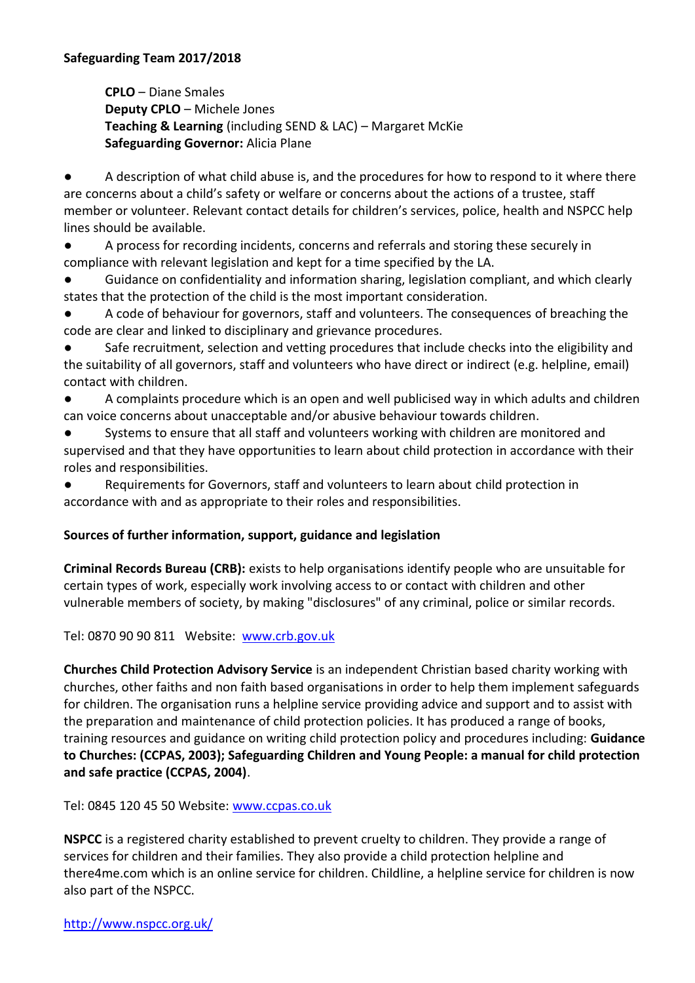**CPLO** – Diane Smales **Deputy CPLO** – Michele Jones **Teaching & Learning** (including SEND & LAC) – Margaret McKie **Safeguarding Governor:** Alicia Plane

● A description of what child abuse is, and the procedures for how to respond to it where there are concerns about a child's safety or welfare or concerns about the actions of a trustee, staff member or volunteer. Relevant contact details for children's services, police, health and NSPCC help lines should be available.

● A process for recording incidents, concerns and referrals and storing these securely in compliance with relevant legislation and kept for a time specified by the LA.

Guidance on confidentiality and information sharing, legislation compliant, and which clearly states that the protection of the child is the most important consideration.

A code of behaviour for governors, staff and volunteers. The consequences of breaching the code are clear and linked to disciplinary and grievance procedures.

Safe recruitment, selection and vetting procedures that include checks into the eligibility and the suitability of all governors, staff and volunteers who have direct or indirect (e.g. helpline, email) contact with children.

● A complaints procedure which is an open and well publicised way in which adults and children can voice concerns about unacceptable and/or abusive behaviour towards children.

Systems to ensure that all staff and volunteers working with children are monitored and supervised and that they have opportunities to learn about child protection in accordance with their roles and responsibilities.

Requirements for Governors, staff and volunteers to learn about child protection in accordance with and as appropriate to their roles and responsibilities.

#### **Sources of further information, support, guidance and legislation**

**Criminal Records Bureau (CRB):** exists to help organisations identify people who are unsuitable for certain types of work, especially work involving access to or contact with children and other vulnerable members of society, by making "disclosures" of any criminal, police or similar records.

Tel: 0870 90 90 811 Website: [www.crb.gov.uk](http://www.crb.gov.uk/)

**Churches Child Protection Advisory Service** is an independent Christian based charity working with churches, other faiths and non faith based organisations in order to help them implement safeguards for children. The organisation runs a helpline service providing advice and support and to assist with the preparation and maintenance of child protection policies. It has produced a range of books, training resources and guidance on writing child protection policy and procedures including: **Guidance to Churches: (CCPAS, 2003); Safeguarding Children and Young People: a manual for child protection and safe practice (CCPAS, 2004)**.

Tel: 0845 120 45 50 Website: [www.ccpas.co.uk](http://www.ccpas.co.uk/)

**NSPCC** is a registered charity established to prevent cruelty to children. They provide a range of services for children and their families. They also provide a child protection helpline and there4me.com which is an online service for children. Childline, a helpline service for children is now also part of the NSPCC.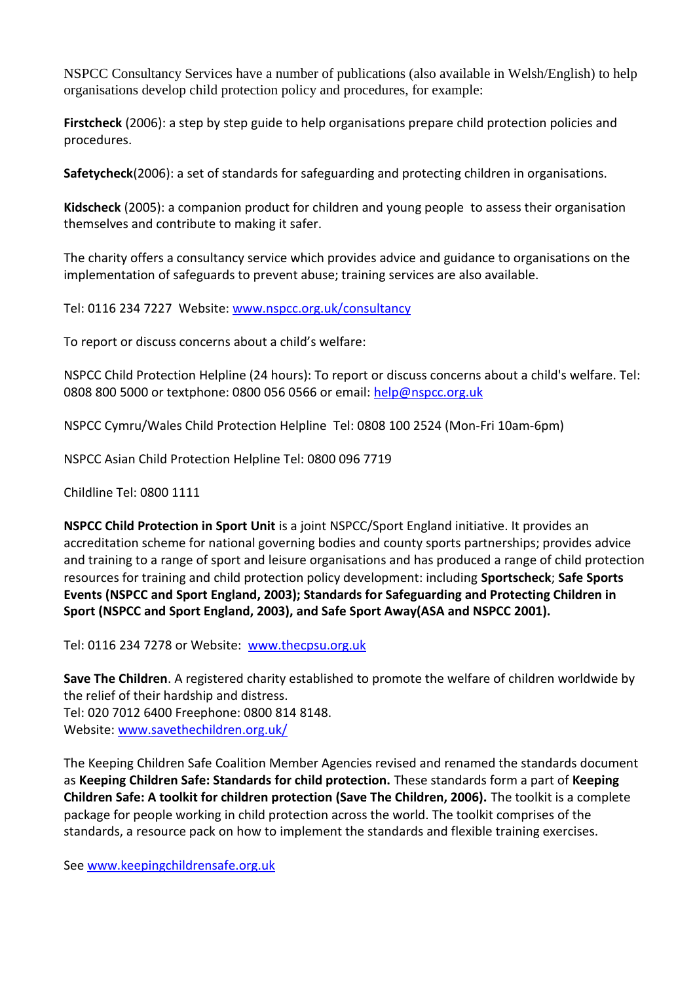NSPCC Consultancy Services have a number of publications (also available in Welsh/English) to help organisations develop child protection policy and procedures, for example:

**Firstcheck** (2006): a step by step guide to help organisations prepare child protection policies and procedures.

**Safetycheck**(2006): a set of standards for safeguarding and protecting children in organisations.

**Kidscheck** (2005): a companion product for children and young people to assess their organisation themselves and contribute to making it safer.

The charity offers a consultancy service which provides advice and guidance to organisations on the implementation of safeguards to prevent abuse; training services are also available.

Tel: 0116 234 7227 Website: [www.nspcc.org.uk/consultancy](http://www.nspcc.org.uk/consultancy)

To report or discuss concerns about a child's welfare:

NSPCC Child Protection Helpline (24 hours): To report or discuss concerns about a child's welfare. Tel: 0808 800 5000 or textphone: 0800 056 0566 or email: [help@nspcc.org.uk](mailto:help@nspcc.org.uk)

NSPCC Cymru/Wales Child Protection Helpline Tel: 0808 100 2524 (Mon-Fri 10am-6pm)

NSPCC Asian Child Protection Helpline Tel: 0800 096 7719

Childline Tel: 0800 1111

**NSPCC Child Protection in Sport Unit** is a joint NSPCC/Sport England initiative. It provides an accreditation scheme for national governing bodies and county sports partnerships; provides advice and training to a range of sport and leisure organisations and has produced a range of child protection resources for training and child protection policy development: including **Sportscheck**; **Safe Sports Events (NSPCC and Sport England, 2003); Standards for Safeguarding and Protecting Children in Sport (NSPCC and Sport England, 2003), and Safe Sport Away(ASA and NSPCC 2001).**

Tel: 0116 234 7278 or Website: [www.thecpsu.org.uk](http://www.thecpsu.org.uk/)

**Save The Children**. A registered charity established to promote the welfare of children worldwide by the relief of their hardship and distress. Tel: 020 7012 6400 Freephone: 0800 814 8148. Website: [www.savethechildren.org.uk/](http://www.savethechildren.org.uk/)

The Keeping Children Safe Coalition Member Agencies revised and renamed the standards document as **Keeping Children Safe: Standards for child protection.** These standards form a part of **Keeping Children Safe: A toolkit for children protection (Save The Children, 2006).** The toolkit is a complete package for people working in child protection across the world. The toolkit comprises of the standards, a resource pack on how to implement the standards and flexible training exercises.

Se[e www.keepingchildrensafe.org.uk](http://www.keepingchildrensafe.org.uk/)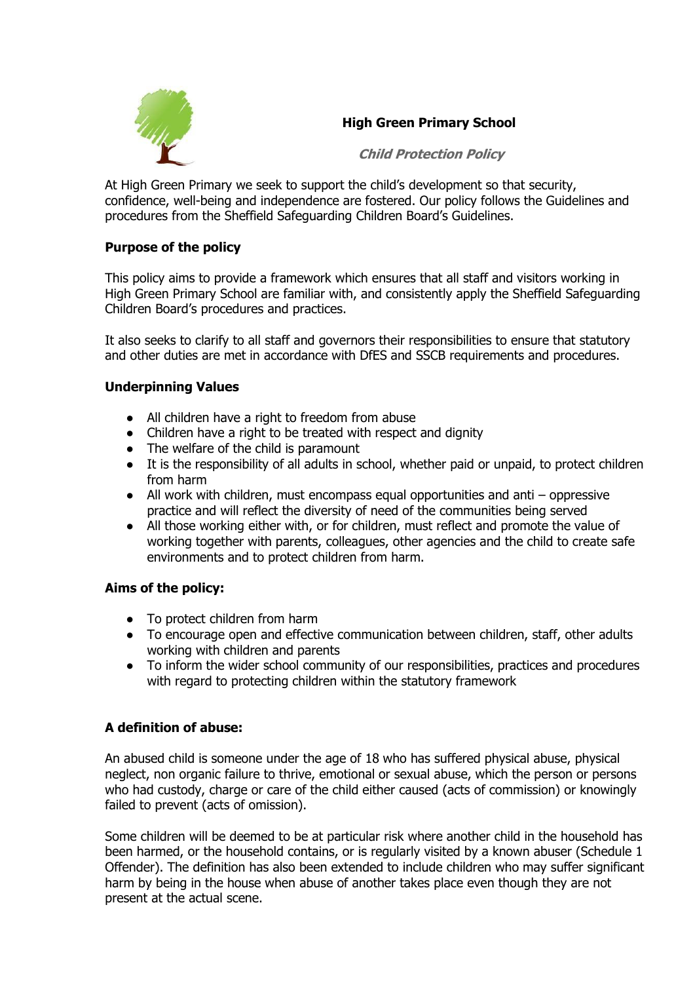

## **High Green Primary School**

**Child Protection Policy** 

At High Green Primary we seek to support the child's development so that security, confidence, well-being and independence are fostered. Our policy follows the Guidelines and procedures from the Sheffield Safeguarding Children Board's Guidelines.

#### **Purpose of the policy**

This policy aims to provide a framework which ensures that all staff and visitors working in High Green Primary School are familiar with, and consistently apply the Sheffield Safeguarding Children Board's procedures and practices.

It also seeks to clarify to all staff and governors their responsibilities to ensure that statutory and other duties are met in accordance with DfES and SSCB requirements and procedures.

#### **Underpinning Values**

- All children have a right to freedom from abuse
- Children have a right to be treated with respect and dignity
- The welfare of the child is paramount
- It is the responsibility of all adults in school, whether paid or unpaid, to protect children from harm
- All work with children, must encompass equal opportunities and anti oppressive practice and will reflect the diversity of need of the communities being served
- All those working either with, or for children, must reflect and promote the value of working together with parents, colleagues, other agencies and the child to create safe environments and to protect children from harm.

#### **Aims of the policy:**

- To protect children from harm
- To encourage open and effective communication between children, staff, other adults working with children and parents
- To inform the wider school community of our responsibilities, practices and procedures with regard to protecting children within the statutory framework

#### **A definition of abuse:**

An abused child is someone under the age of 18 who has suffered physical abuse, physical neglect, non organic failure to thrive, emotional or sexual abuse, which the person or persons who had custody, charge or care of the child either caused (acts of commission) or knowingly failed to prevent (acts of omission).

Some children will be deemed to be at particular risk where another child in the household has been harmed, or the household contains, or is regularly visited by a known abuser (Schedule 1 Offender). The definition has also been extended to include children who may suffer significant harm by being in the house when abuse of another takes place even though they are not present at the actual scene.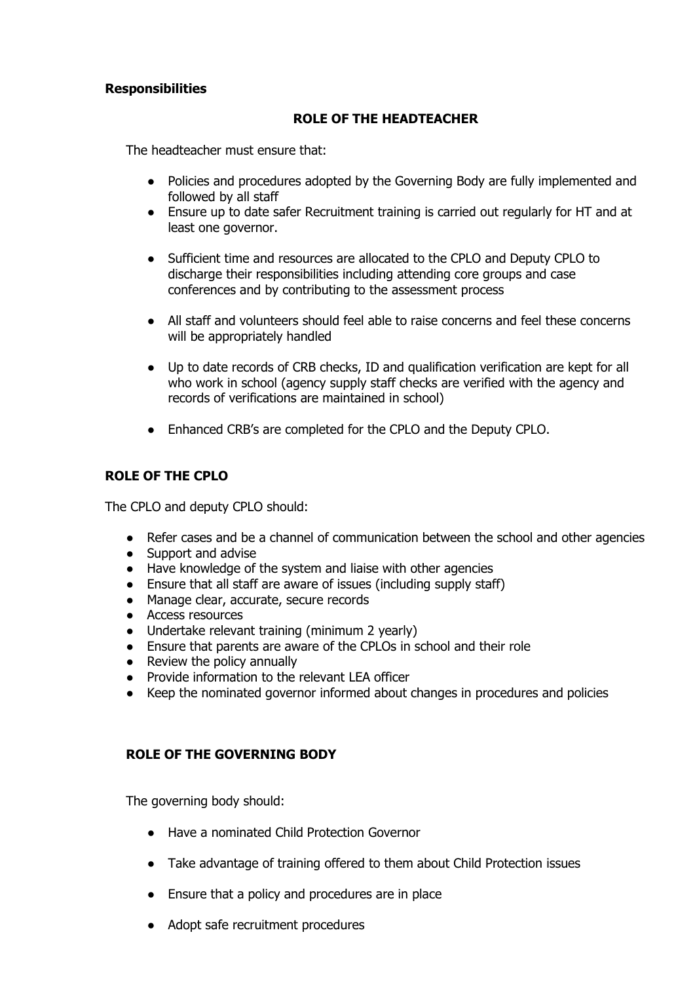#### **Responsibilities**

#### **ROLE OF THE HEADTEACHER**

The headteacher must ensure that:

- Policies and procedures adopted by the Governing Body are fully implemented and followed by all staff
- Ensure up to date safer Recruitment training is carried out regularly for HT and at least one governor.
- Sufficient time and resources are allocated to the CPLO and Deputy CPLO to discharge their responsibilities including attending core groups and case conferences and by contributing to the assessment process
- All staff and volunteers should feel able to raise concerns and feel these concerns will be appropriately handled
- Up to date records of CRB checks, ID and qualification verification are kept for all who work in school (agency supply staff checks are verified with the agency and records of verifications are maintained in school)
- Enhanced CRB's are completed for the CPLO and the Deputy CPLO.

#### **ROLE OF THE CPLO**

The CPLO and deputy CPLO should:

- Refer cases and be a channel of communication between the school and other agencies
- Support and advise
- Have knowledge of the system and liaise with other agencies
- Ensure that all staff are aware of issues (including supply staff)
- Manage clear, accurate, secure records
- Access resources
- Undertake relevant training (minimum 2 yearly)
- Ensure that parents are aware of the CPLOs in school and their role
- Review the policy annually
- Provide information to the relevant LEA officer
- Keep the nominated governor informed about changes in procedures and policies

#### **ROLE OF THE GOVERNING BODY**

The governing body should:

- Have a nominated Child Protection Governor
- Take advantage of training offered to them about Child Protection issues
- Ensure that a policy and procedures are in place
- Adopt safe recruitment procedures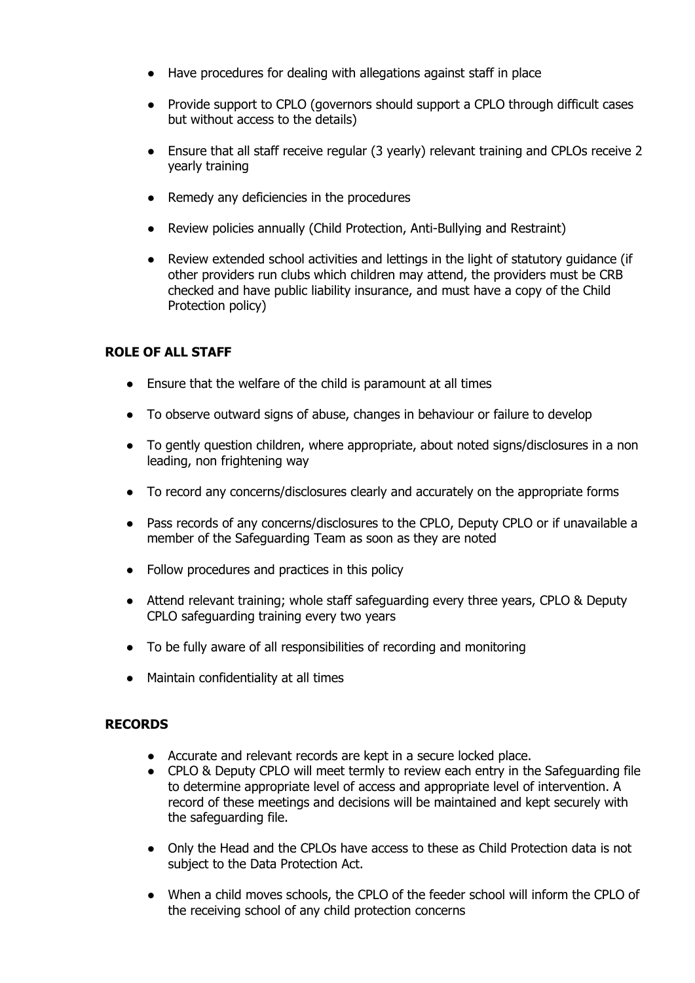- Have procedures for dealing with allegations against staff in place
- Provide support to CPLO (governors should support a CPLO through difficult cases but without access to the details)
- Ensure that all staff receive regular (3 yearly) relevant training and CPLOs receive 2 yearly training
- Remedy any deficiencies in the procedures
- Review policies annually (Child Protection, Anti-Bullying and Restraint)
- Review extended school activities and lettings in the light of statutory guidance (if other providers run clubs which children may attend, the providers must be CRB checked and have public liability insurance, and must have a copy of the Child Protection policy)

#### **ROLE OF ALL STAFF**

- Ensure that the welfare of the child is paramount at all times
- To observe outward signs of abuse, changes in behaviour or failure to develop
- To gently question children, where appropriate, about noted signs/disclosures in a non leading, non frightening way
- To record any concerns/disclosures clearly and accurately on the appropriate forms
- Pass records of any concerns/disclosures to the CPLO, Deputy CPLO or if unavailable a member of the Safeguarding Team as soon as they are noted
- Follow procedures and practices in this policy
- Attend relevant training; whole staff safeguarding every three years, CPLO & Deputy CPLO safeguarding training every two years
- To be fully aware of all responsibilities of recording and monitoring
- Maintain confidentiality at all times

#### **RECORDS**

- Accurate and relevant records are kept in a secure locked place.
- CPLO & Deputy CPLO will meet termly to review each entry in the Safeguarding file to determine appropriate level of access and appropriate level of intervention. A record of these meetings and decisions will be maintained and kept securely with the safeguarding file.
- Only the Head and the CPLOs have access to these as Child Protection data is not subject to the Data Protection Act.
- When a child moves schools, the CPLO of the feeder school will inform the CPLO of the receiving school of any child protection concerns